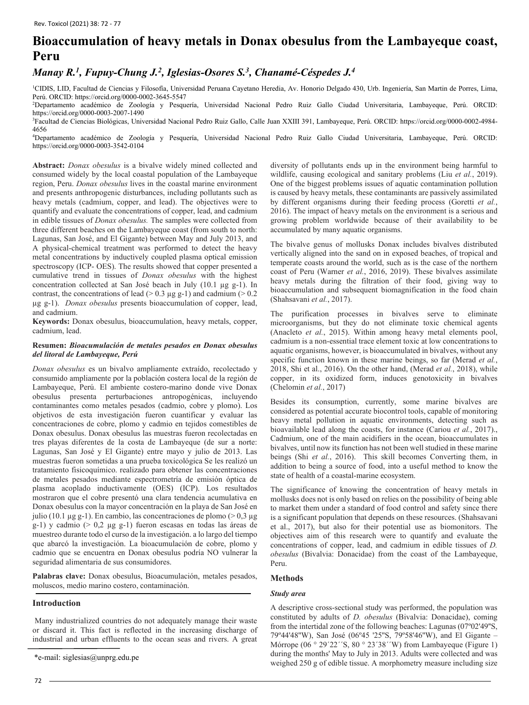# **Bioaccumulation of heavy metals in Donax obesulus from the Lambayeque coast, Peru**

# *Manay R.1, Fupuy-Chung J.2, Iglesias-Osores S.3, Chanamé-Céspedes J.4*

1 CIDIS, LID, Facultad de Ciencias y Filosofía, Universidad Peruana Cayetano Heredia, Av. Honorio Delgado 430, Urb. Ingeniería, San Martin de Porres, Lima, Perú. ORCID: https://orcid.org/0000-0002-3645-5547

2 Departamento académico de Zoología y Pesquería, Universidad Nacional Pedro Ruiz Gallo Ciudad Universitaria, Lambayeque, Perú. ORCID: https://orcid.org/0000-0003-2007-1490

3 Facultad de Ciencias Biológicas, Universidad Nacional Pedro Ruiz Gallo, Calle Juan XXIII 391, Lambayeque, Perú. ORCID: https://orcid.org/0000-0002-4984- 4656

4 Departamento académico de Zoología y Pesquería, Universidad Nacional Pedro Ruiz Gallo Ciudad Universitaria, Lambayeque, Perú. ORCID: https://orcid.org/0000-0003-3542-0104

**Abstract:** *Donax obesulus* is a bivalve widely mined collected and consumed widely by the local coastal population of the Lambayeque region, Peru. *Donax obesulus* lives in the coastal marine environment and presents anthropogenic disturbances, including pollutants such as heavy metals (cadmium, copper, and lead). The objectives were to quantify and evaluate the concentrations of copper, lead, and cadmium in edible tissues of *Donax obesulus.* The samples were collected from three different beaches on the Lambayeque coast (from south to north: Lagunas, San José, and El Gigante) between May and July 2013, and A physical-chemical treatment was performed to detect the heavy metal concentrations by inductively coupled plasma optical emission spectroscopy (ICP- OES). The results showed that copper presented a cumulative trend in tissues of *Donax obesulus* with the highest concentration collected at San José beach in July (10.1 µg g-1). In contrast, the concentrations of lead ( $> 0.3 \mu$ g g-1) and cadmium ( $> 0.2$ ) µg g-1). *Donax obesulus* presents bioaccumulation of copper, lead, and cadmium.

**Keywords:** Donax obesulus, bioaccumulation, heavy metals, copper, cadmium, lead.

#### **Resumen:** *Bioacumulación de metales pesados en Donax obesulus del litoral de Lambayeque, Perú*

*Donax obesulus* es un bivalvo ampliamente extraído, recolectado y consumido ampliamente por la población costera local de la región de Lambayeque, Perú. El ambiente costero-marino donde vive Donax obesulus presenta perturbaciones antropogénicas, incluyendo contaminantes como metales pesados (cadmio, cobre y plomo). Los objetivos de esta investigación fueron cuantificar y evaluar las concentraciones de cobre, plomo y cadmio en tejidos comestibles de Donax obesulus. Donax obesulus las muestras fueron recolectadas en tres playas diferentes de la costa de Lambayeque (de sur a norte: Lagunas, San José y El Gigante) entre mayo y julio de 2013. Las muestras fueron sometidas a una prueba toxicológica Se les realizó un tratamiento fisicoquímico. realizado para obtener las concentraciones de metales pesados mediante espectrometría de emisión óptica de plasma acoplado inductivamente (OES) (ICP). Los resultados mostraron que el cobre presentó una clara tendencia acumulativa en Donax obesulus con la mayor concentración en la playa de San José en julio (10.1 µg g-1). En cambio, las concentraciones de plomo (> 0,3 µg g-1) y cadmio (> 0,2 µg g-1) fueron escasas en todas las áreas de muestreo durante todo el curso de la investigación. a lo largo del tiempo que abarcó la investigación. La bioacumulación de cobre, plomo y cadmio que se encuentra en Donax obesulus podría NO vulnerar la seguridad alimentaria de sus consumidores.

**Palabras clave:** Donax obesulus, Bioacumulación, metales pesados, moluscos, medio marino costero, contaminación.

# **Introduction**

Many industrialized countries do not adequately manage their waste or discard it. This fact is reflected in the increasing discharge of industrial and urban effluents to the ocean seas and rivers. A great

diversity of pollutants ends up in the environment being harmful to wildlife, causing ecological and sanitary problems (Liu *et al.*, 2019). One of the biggest problems issues of aquatic contamination pollution is caused by heavy metals, these contaminants are passively assimilated by different organisms during their feeding process (Goretti *et al.*, 2016). The impact of heavy metals on the environment is a serious and growing problem worldwide because of their availability to be accumulated by many aquatic organisms.

The bivalve genus of mollusks Donax includes bivalves distributed vertically aligned into the sand on in exposed beaches, of tropical and temperate coasts around the world, such as is the case of the northern coast of Peru (Warner *et al.*, 2016, 2019). These bivalves assimilate heavy metals during the filtration of their food, giving way to bioaccumulation and subsequent biomagnification in the food chain (Shahsavani *et al.*, 2017).

The purification processes in bivalves serve to eliminate microorganisms, but they do not eliminate toxic chemical agents (Anacleto *et al.*, 2015). Within among heavy metal elements pool, cadmium is a non-essential trace element toxic at low concentrations to aquatic organisms, however, is bioaccumulated in bivalves, without any specific function known in these marine beings, so far (Merad *et al.*, 2018, Shi et al., 2016). On the other hand, (Merad *et al.*, 2018), while copper, in its oxidized form, induces genotoxicity in bivalves (Chelomin *et al.*, 2017)

Besides its consumption, currently, some marine bivalves are considered as potential accurate biocontrol tools, capable of monitoring heavy metal pollution in aquatic environments, detecting such as bioavailable lead along the coasts, for instance (Cariou *et al.*, 2017)., Cadmium, one of the main acidifiers in the ocean, bioaccumulates in bivalves, until now its function has not been well studied in these marine beings (Shi *et al.*, 2016). This skill becomes Converting them, in addition to being a source of food, into a useful method to know the state of health of a coastal-marine ecosystem.

The significance of knowing the concentration of heavy metals in mollusks does not is only based on relies on the possibility of being able to market them under a standard of food control and safety since there is a significant population that depends on these resources. (Shahsavani et al., 2017), but also for their potential use as biomonitors. The objectives aim of this research were to quantify and evaluate the concentrations of copper, lead, and cadmium in edible tissues of *D. obesulus* (Bivalvia: Donacidae) from the coast of the Lambayeque, Peru.

#### **Methods**

#### *Study area*

A descriptive cross-sectional study was performed, the population was constituted by adults of *D. obesulus* (Bivalvia: Donacidae), coming from the intertidal zone of the following beaches: Lagunas (07º02'49''S, 79º44'48''W), San José (06º45 '25''S, 79º58'46''W), and El Gigante – Mórrope (06 ° 29'22''S, 80 ° 23'38''W) from Lambayeque (Figure 1) during the months' May to July in 2013. Adults were collected and was e-mail: [siglesias@unprg.edu.pe](mailto:siglesias@unprg.edu.pe)<br>weighed 250 g of edible tissue. A morphometry measure including size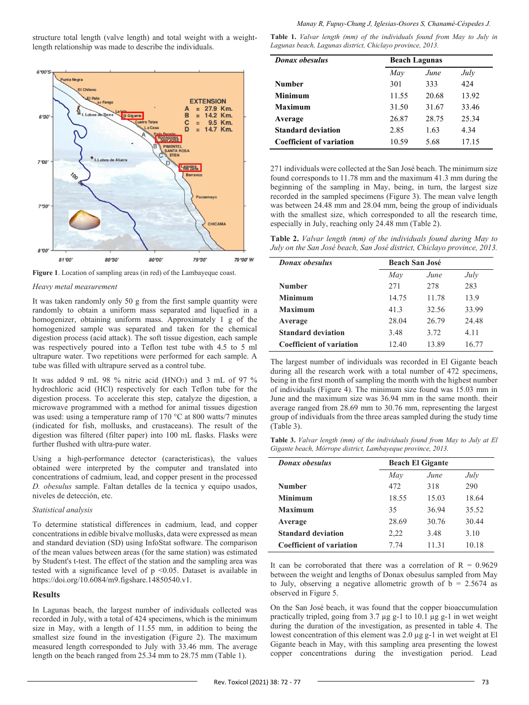structure total length (valve length) and total weight with a weightlength relationship was made to describe the individuals.



**Figure 1**. Location of sampling areas (in red) of the Lambayeque coast.

#### *Heavy metal measurement*

It was taken randomly only 50 g from the first sample quantity were randomly to obtain a uniform mass separated and liquefied in a homogenizer, obtaining uniform mass. Approximately 1 g of the homogenized sample was separated and taken for the chemical digestion process (acid attack). The soft tissue digestion, each sample was respectively poured into a Teflon test tube with 4.5 to 5 ml ultrapure water. Two repetitions were performed for each sample. A tube was filled with ultrapure served as a control tube.

It was added 9 mL 98 % nitric acid (HNO3) and 3 mL of 97 % hydrochloric acid (HCl) respectively for each Teflon tube for the digestion process. To accelerate this step, catalyze the digestion, a microwave programmed with a method for animal tissues digestion was used: using a temperature ramp of 170 °C at 800 watts/7 minutes (indicated for fish, mollusks, and crustaceans). The result of the digestion was filtered (filter paper) into 100 mL flasks. Flasks were further flushed with ultra-pure water.

Using a high-performance detector (caracteristicas), the values obtained were interpreted by the computer and translated into concentrations of cadmium, lead, and copper present in the processed *D. obesulus* sample. Faltan detalles de la tecnica y equipo usados, niveles de detección, etc.

#### *Statistical analysis*

To determine statistical differences in cadmium, lead, and copper concentrations in edible bivalve mollusks, data were expressed as mean and standard deviation (SD) using InfoStat software. The comparison of the mean values between areas (for the same station) was estimated by Student's t-test. The effect of the station and the sampling area was tested with a significance level of p <0.05. Dataset is available in https://doi.org/10.6084/m9.figshare.14850540.v1.

#### **Results**

In Lagunas beach, the largest number of individuals collected was recorded in July, with a total of 424 specimens, which is the minimum size in May, with a length of 11.55 mm, in addition to being the smallest size found in the investigation (Figure 2). The maximum measured length corresponded to July with 33.46 mm. The average length on the beach ranged from 25.34 mm to 28.75 mm (Table 1).

**Table 1.** *Valvar length (mm) of the individuals found from May to July in Lagunas beach, Lagunas district, Chiclayo province, 2013.*

| <b>Donax</b> obesulus           | <b>Beach Lagunas</b> |       |       |
|---------------------------------|----------------------|-------|-------|
|                                 | May                  | June  | July  |
| Number                          | 301                  | 333   | 424   |
| Minimum                         | 11.55                | 20.68 | 13.92 |
| <b>Maximum</b>                  | 31.50                | 31.67 | 33.46 |
| Average                         | 26.87                | 28.75 | 25.34 |
| <b>Standard deviation</b>       | 2.85                 | 1.63  | 4.34  |
| <b>Coefficient of variation</b> | 10.59                | 5.68  | 17.15 |

271 individuals were collected at the San José beach. The minimum size found corresponds to 11.78 mm and the maximum 41.3 mm during the beginning of the sampling in May, being, in turn, the largest size recorded in the sampled specimens (Figure 3). The mean valve length was between 24.48 mm and 28.04 mm, being the group of individuals with the smallest size, which corresponded to all the research time, especially in July, reaching only 24.48 mm (Table 2).

**Table 2.** *Valvar length (mm) of the individuals found during May to July on the San José beach, San José district, Chiclayo province, 2013.*

| <b>Donax</b> obesulus           | <b>Beach San José</b> |             |       |
|---------------------------------|-----------------------|-------------|-------|
|                                 | May                   | <i>June</i> | July  |
| <b>Number</b>                   | 2.71                  | 278         | 283   |
| Minimum                         | 14.75                 | 11.78       | 13.9  |
| Maximum                         | 41.3                  | 32.56       | 33.99 |
| Average                         | 28.04                 | 26.79       | 24.48 |
| <b>Standard deviation</b>       | 3.48                  | 3.72        | 4.11  |
| <b>Coefficient of variation</b> | 12.40                 | 13.89       | 16.77 |

The largest number of individuals was recorded in El Gigante beach during all the research work with a total number of 472 specimens, being in the first month of sampling the month with the highest number of individuals (Figure 4). The minimum size found was 15.03 mm in June and the maximum size was 36.94 mm in the same month. their average ranged from 28.69 mm to 30.76 mm, representing the largest group of individuals from the three areas sampled during the study time (Table 3).

**Table 3.** *Valvar length (mm) of the individuals found from May to July at El Gigante beach, Mórrope district, Lambayeque province, 2013.*

| <b>Donax</b> obesulus     | <b>Beach El Gigante</b> |             |       |
|---------------------------|-------------------------|-------------|-------|
|                           | May                     | <i>June</i> | July  |
| <b>Number</b>             | 472                     | 318         | 290   |
| <b>Minimum</b>            | 18.55                   | 15.03       | 18.64 |
| Maximum                   | 35                      | 36.94       | 35.52 |
| Average                   | 28.69                   | 30.76       | 30.44 |
| <b>Standard deviation</b> | 2,22                    | 3.48        | 3.10  |
| Coefficient of variation  | 7.74                    | 11.31       | 10.18 |

It can be corroborated that there was a correlation of  $R = 0.9629$ between the weight and lengths of Donax obesulus sampled from May to July, observing a negative allometric growth of  $b = 2.5674$  as observed in Figure 5.

On the San José beach, it was found that the copper bioaccumulation practically tripled, going from 3.7  $\mu$ g g-1 to 10.1  $\mu$ g g-1 in wet weight during the duration of the investigation, as presented in table 4. The lowest concentration of this element was 2.0 µg g-1 in wet weight at El Gigante beach in May, with this sampling area presenting the lowest copper concentrations during the investigation period. Lead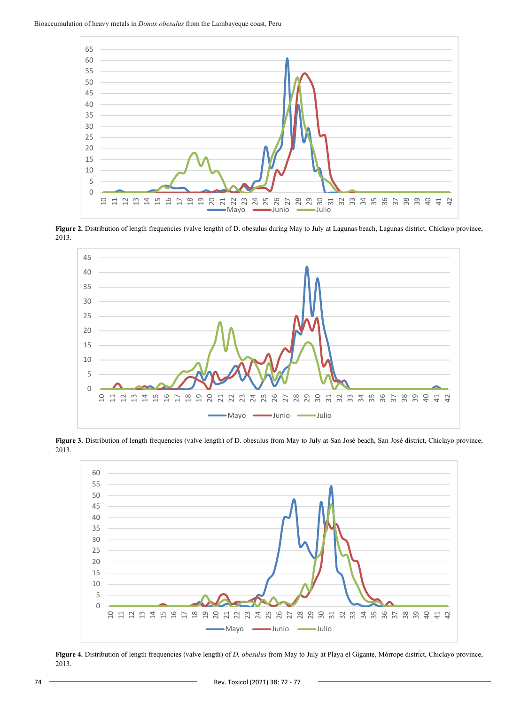

**Figure 2.** Distribution of length frequencies (valve length) of D. obesulus during May to July at Lagunas beach, Lagunas district, Chiclayo province, 2013.



**Figure 3.** Distribution of length frequencies (valve length) of D. obesulus from May to July at San José beach, San José district, Chiclayo province, 2013.



**Figure 4.** Distribution of length frequencies (valve length) of *D. obesulus* from May to July at Playa el Gigante, Mórrope district, Chiclayo province, 2013.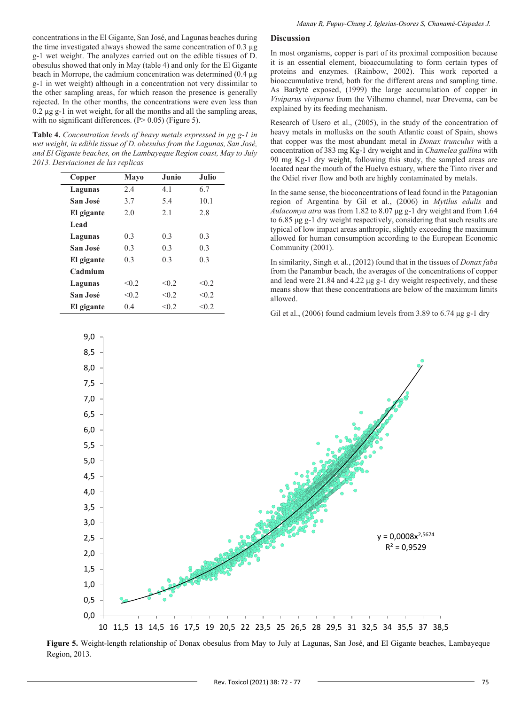concentrations in the El Gigante, San José, and Lagunas beaches during the time investigated always showed the same concentration of 0.3 µg g-1 wet weight. The analyzes carried out on the edible tissues of D. obesulus showed that only in May (table 4) and only for the El Gigante beach in Morrope, the cadmium concentration was determined (0.4 µg g-1 in wet weight) although in a concentration not very dissimilar to the other sampling areas, for which reason the presence is generally rejected. In the other months, the concentrations were even less than  $0.2 \mu$ g g-1 in wet weight, for all the months and all the sampling areas, with no significant differences.  $(P > 0.05)$  (Figure 5).

**Table 4.** *Concentration levels of heavy metals expressed in µg g-1 in wet weight, in edible tissue of D. obesulus from the Lagunas, San José, and El Gigante beaches, on the Lambayeque Region coast, May to July 2013. Desviaciones de las replicas*

| Copper     | Mayo  | Junio | <b>Julio</b> |
|------------|-------|-------|--------------|
| Lagunas    | 2.4   | 4.1   | 6.7          |
| San José   | 3.7   | 5.4   | 10.1         |
| El gigante | 2.0   | 2.1   | 2.8          |
| Lead       |       |       |              |
| Lagunas    | 0.3   | 0.3   | 0.3          |
| San José   | 0.3   | 0.3   | 0.3          |
| El gigante | 0.3   | 0.3   | 0.3          |
| Cadmium    |       |       |              |
| Lagunas    | < 0.2 | < 0.2 | < 0.2        |
| San José   | < 0.2 | < 0.2 | < 0.2        |
| El gigante | 0.4   | < 0.2 | < 0.2        |

#### **Discussion**

In most organisms, copper is part of its proximal composition because it is an essential element, bioaccumulating to form certain types of proteins and enzymes. (Rainbow, 2002). This work reported a bioaccumulative trend, both for the different areas and sampling time. As Baršytė exposed, (1999) the large accumulation of copper in *Viviparus viviparus* from the Vilhemo channel, near Drevema, can be explained by its feeding mechanism.

Research of Usero et al., (2005), in the study of the concentration of heavy metals in mollusks on the south Atlantic coast of Spain, shows that copper was the most abundant metal in *Donax trunculus* with a concentration of 383 mg Kg-1 dry weight and in *Chamelea gallina* with 90 mg Kg-1 dry weight, following this study, the sampled areas are located near the mouth of the Huelva estuary, where the Tinto river and the Odiel river flow and both are highly contaminated by metals.

In the same sense, the bioconcentrations of lead found in the Patagonian region of Argentina by Gil et al., (2006) in *Mytilus edulis* and *Aulacomya atra* was from 1.82 to 8.07 μg g-1 dry weight and from 1.64 to 6.85 μg g-1 dry weight respectively, considering that such results are typical of low impact areas anthropic, slightly exceeding the maximum allowed for human consumption according to the European Economic Community (2001).

In similarity, Singh et al., (2012) found that in the tissues of *Donax faba* from the Panambur beach, the averages of the concentrations of copper and lead were 21.84 and 4.22 μg g-1 dry weight respectively, and these means show that these concentrations are below of the maximum limits allowed.

Gil et al., (2006) found cadmium levels from 3.89 to 6.74 μg g-1 dry



**Figure 5.** Weight-length relationship of Donax obesulus from May to July at Lagunas, San José, and El Gigante beaches, Lambayeque Region, 2013.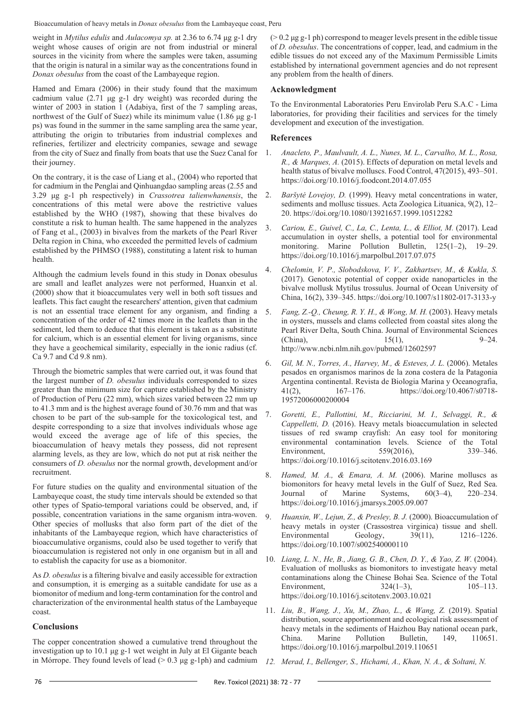Bioaccumulation of heavy metals in *Donax obesulus* from the Lambayeque coast, Peru

weight in *Mytilus edulis* and *Aulacomya sp.* at 2.36 to 6.74 μg g-1 dry weight whose causes of origin are not from industrial or mineral sources in the vicinity from where the samples were taken, assuming that the origin is natural in a similar way as the concentrations found in *Donax obesulus* from the coast of the Lambayeque region.

Hamed and Emara (2006) in their study found that the maximum cadmium value (2.71 μg g-1 dry weight) was recorded during the winter of 2003 in station 1 (Adabiya, first of the 7 sampling areas, northwest of the Gulf of Suez) while its minimum value (1.86 μg g-1 ps) was found in the summer in the same sampling area the same year, attributing the origin to tributaries from industrial complexes and refineries, fertilizer and electricity companies, sewage and sewage from the city of Suez and finally from boats that use the Suez Canal for their journey.

On the contrary, it is the case of Liang et al., (2004) who reported that for cadmium in the Penglai and Qinhuangdao sampling areas (2.55 and 3.29 μg g-1 ph respectively) in *Crassotrea talienwhanensis*, the concentrations of this metal were above the restrictive values established by the WHO (1987), showing that these bivalves do constitute a risk to human health. The same happened in the analyzes of Fang et al., (2003) in bivalves from the markets of the Pearl River Delta region in China, who exceeded the permitted levels of cadmium established by the PHMSO (1988), constituting a latent risk to human health.

Although the cadmium levels found in this study in Donax obesulus are small and leaflet analyzes were not performed, Huanxin et al. (2000) show that it bioaccumulates very well in both soft tissues and leaflets. This fact caught the researchers' attention, given that cadmium is not an essential trace element for any organism, and finding a concentration of the order of 42 times more in the leaflets than in the sediment, led them to deduce that this element is taken as a substitute for calcium, which is an essential element for living organisms, since they have a geochemical similarity, especially in the ionic radius (cf. Ca 9.7 and Cd 9.8 nm).

Through the biometric samples that were carried out, it was found that the largest number of *D. obesulus* individuals corresponded to sizes greater than the minimum size for capture established by the Ministry of Production of Peru (22 mm), which sizes varied between 22 mm up to 41.3 mm and is the highest average found of 30.76 mm and that was chosen to be part of the sub-sample for the toxicological test, and despite corresponding to a size that involves individuals whose age would exceed the average age of life of this species, the bioaccumulation of heavy metals they possess, did not represent alarming levels, as they are low, which do not put at risk neither the consumers of *D. obesulus* nor the normal growth, development and/or recruitment.

For future studies on the quality and environmental situation of the Lambayeque coast, the study time intervals should be extended so that other types of Spatio-temporal variations could be observed, and, if possible, concentration variations in the same organism intra-woven. Other species of mollusks that also form part of the diet of the inhabitants of the Lambayeque region, which have characteristics of bioaccumulative organisms, could also be used together to verify that bioaccumulation is registered not only in one organism but in all and to establish the capacity for use as a biomonitor.

As *D. obesulus* is a filtering bivalve and easily accessible for extraction and consumption, it is emerging as a suitable candidate for use as a biomonitor of medium and long-term contamination for the control and characterization of the environmental health status of the Lambayeque coast.

# **Conclusions**

The copper concentration showed a cumulative trend throughout the investigation up to 10.1 μg g-1 wet weight in July at El Gigante beach in Mórrope. They found levels of lead  $(> 0.3 \text{ µg g-lph})$  and cadmium

 $(0.2 \text{ kg g-1 ph})$  correspond to meager levels present in the edible tissue of *D. obesulus*. The concentrations of copper, lead, and cadmium in the edible tissues do not exceed any of the Maximum Permissible Limits established by international government agencies and do not represent any problem from the health of diners.

# **Acknowledgment**

To the Environmental Laboratories Peru Envirolab Peru S.A.C - Lima laboratories, for providing their facilities and services for the timely development and execution of the investigation.

# **References**

- 1. *Anacleto, P., Maulvault, A. L., Nunes, M. L., Carvalho, M. L., Rosa, R., & Marques, A.* (2015). Effects of depuration on metal levels and health status of bivalve molluscs. Food Control, 47(2015), 493–501. https://doi.org/10.1016/j.foodcont.2014.07.055
- 2. *Baršytė Lovejoy, D.* (1999). Heavy metal concentrations in water, sediments and mollusc tissues. Acta Zoologica Lituanica, 9(2), 12– 20. https://doi.org/10.1080/13921657.1999.10512282
- 3. *Cariou, E., Guivel, C., La, C., Lenta, L., & Elliot, M.* (2017). Lead accumulation in oyster shells, a potential tool for environmental monitoring. Marine Pollution Bulletin, 125(1–2), 19–29. https://doi.org/10.1016/j.marpolbul.2017.07.075
- 4. *Chelomin, V. P., Slobodskova, V. V., Zakhartsev, M., & Kukla, S.* (2017). Genotoxic potential of copper oxide nanoparticles in the bivalve mollusk Mytilus trossulus. Journal of Ocean University of China, 16(2), 339–345. https://doi.org/10.1007/s11802-017-3133-y
- 5. *Fang, Z.-Q., Cheung, R. Y. H., & Wong, M. H.* (2003). Heavy metals in oysters, mussels and clams collected from coastal sites along the Pearl River Delta, South China. Journal of Environmental Sciences (China), 15(1), 9–24. http://www.ncbi.nlm.nih.gov/pubmed/12602597
- 6. *Gil, M. N., Torres, A., Harvey, M., & Esteves, J. L.* (2006). Metales pesados en organismos marinos de la zona costera de la Patagonia Argentina continental. Revista de Biologia Marina y Oceanografia, 41(2), 167–176. https://doi.org/10.4067/s0718- 19572006000200004
- 7. *Goretti, E., Pallottini, M., Ricciarini, M. I., Selvaggi, R., & Cappelletti, D.* (2016). Heavy metals bioaccumulation in selected tissues of red swamp crayfish: An easy tool for monitoring environmental contamination levels. Science of the Total Environment, 559(2016), 339–346. https://doi.org/10.1016/j.scitotenv.2016.03.169
- 8. *Hamed, M. A., & Emara, A. M.* (2006). Marine molluscs as biomonitors for heavy metal levels in the Gulf of Suez, Red Sea. Journal of Marine Systems, 60(3–4), 220–234. https://doi.org/10.1016/j.jmarsys.2005.09.007
- 9. *Huanxin, W., Lejun, Z., & Presley, B. J.* (2000). Bioaccumulation of heavy metals in oyster (Crassostrea virginica) tissue and shell. Environmental Geology, 39(11), 1216–1226. https://doi.org/10.1007/s002540000110
- 10. *Liang, L. N., He, B., Jiang, G. B., Chen, D. Y., & Yao, Z. W.* (2004). Evaluation of mollusks as biomonitors to investigate heavy metal contaminations along the Chinese Bohai Sea. Science of the Total Environment, 324(1–3), 105–113. https://doi.org/10.1016/j.scitotenv.2003.10.021
- 11. *Liu, B., Wang, J., Xu, M., Zhao, L., & Wang, Z.* (2019). Spatial distribution, source apportionment and ecological risk assessment of heavy metals in the sediments of Haizhou Bay national ocean park, China. Marine Pollution Bulletin, 149, 110651. https://doi.org/10.1016/j.marpolbul.2019.110651
- *12. Merad, I., Bellenger, S., Hichami, A., Khan, N. A., & Soltani, N.*